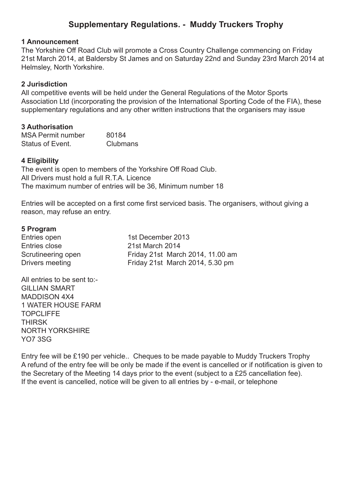# **Supplementary Regulations. - Muddy Truckers Trophy**

#### **1 Announcement**

The Yorkshire Off Road Club will promote a Cross Country Challenge commencing on Friday 21st March 2014, at Baldersby St James and on Saturday 22nd and Sunday 23rd March 2014 at Helmsley, North Yorkshire.

### **2 Jurisdiction**

All competitive events will be held under the General Regulations of the Motor Sports Association Ltd (incorporating the provision of the International Sporting Code of the FIA), these supplementary regulations and any other written instructions that the organisers may issue

### **3 Authorisation**

MSA Permit number 80184 Status of Event. Clubmans

#### **4 Eligibility**

The event is open to members of the Yorkshire Off Road Club. All Drivers must hold a full R.T.A. Licence The maximum number of entries will be 36, Minimum number 18

Entries will be accepted on a first come first serviced basis. The organisers, without giving a reason, may refuse an entry.

#### **5 Program**

Entries open 1st December 2013 Entries close 21st March 2014 Scrutineering open Friday 21st March 2014, 11.00 am Drivers meeting Friday 21st March 2014, 5.30 pm

All entries to be sent to:- GILLIAN SMART MADDISON 4X4 1 WATER HOUSE FARM **TOPCLIFFE THIRSK** NORTH YORKSHIRE YO7 3SG

Entry fee will be £190 per vehicle.. Cheques to be made payable to Muddy Truckers Trophy A refund of the entry fee will be only be made if the event is cancelled or if notification is given to the Secretary of the Meeting 14 days prior to the event (subject to a £25 cancellation fee). If the event is cancelled, notice will be given to all entries by - e-mail, or telephone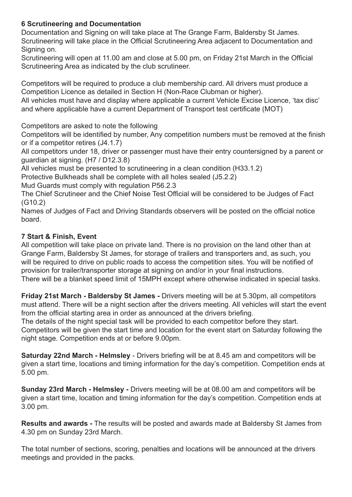# **6 Scrutineering and Documentation**

Documentation and Signing on will take place at The Grange Farm, Baldersby St James. Scrutineering will take place in the Official Scrutineering Area adjacent to Documentation and Signing on.

Scrutineering will open at 11.00 am and close at 5.00 pm, on Friday 21st March in the Official Scrutineering Area as indicated by the club scrutineer.

Competitors will be required to produce a club membership card. All drivers must produce a Competition Licence as detailed in Section H (Non-Race Clubman or higher).

All vehicles must have and display where applicable a current Vehicle Excise Licence, 'tax disc' and where applicable have a current Department of Transport test certificate (MOT)

Competitors are asked to note the following

Competitors will be identified by number, Any competition numbers must be removed at the finish or if a competitor retires (J4.1.7)

All competitors under 18, driver or passenger must have their entry countersigned by a parent or guardian at signing. (H7 / D12.3.8)

All vehicles must be presented to scrutineering in a clean condition (H33.1.2)

Protective Bulkheads shall be complete with all holes sealed (J5.2.2)

Mud Guards must comply with regulation P56.2.3

The Chief Scrutineer and the Chief Noise Test Official will be considered to be Judges of Fact (G10.2)

Names of Judges of Fact and Driving Standards observers will be posted on the official notice board.

## **7 Start & Finish, Event**

All competition will take place on private land. There is no provision on the land other than at Grange Farm, Baldersby St James, for storage of trailers and transporters and, as such, you will be required to drive on public roads to access the competition sites. You will be notified of provision for trailer/transporter storage at signing on and/or in your final instructions. There will be a blanket speed limit of 15MPH except where otherwise indicated in special tasks.

**Friday 21st March - Baldersby St James -** Drivers meeting will be at 5.30pm, all competitors must attend. There will be a night section after the drivers meeting. All vehicles will start the event from the official starting area in order as announced at the drivers briefing.

The details of the night special task will be provided to each competitor before they start. Competitors will be given the start time and location for the event start on Saturday following the night stage. Competition ends at or before 9.00pm.

**Saturday 22nd March - Helmsley** - Drivers briefing will be at 8.45 am and competitors will be given a start time, locations and timing information for the day's competition. Competition ends at 5.00 pm.

**Sunday 23rd March - Helmsley -** Drivers meeting will be at 08.00 am and competitors will be given a start time, location and timing information for the day's competition. Competition ends at 3.00 pm.

**Results and awards -** The results will be posted and awards made at Baldersby St James from 4.30 pm on Sunday 23rd March.

The total number of sections, scoring, penalties and locations will be announced at the drivers meetings and provided in the packs.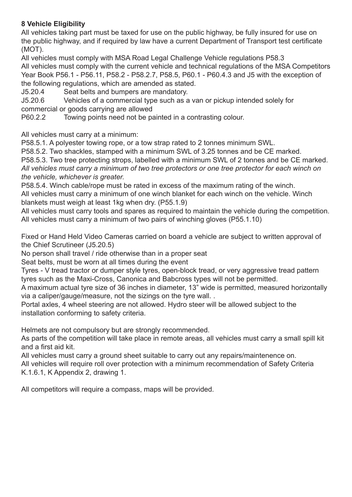# **8 Vehicle Eligibility**

All vehicles taking part must be taxed for use on the public highway, be fully insured for use on the public highway, and if required by law have a current Department of Transport test certificate (MOT).

All vehicles must comply with MSA Road Legal Challenge Vehicle regulations P58.3 All vehicles must comply with the current vehicle and technical regulations of the MSA Competitors Year Book P56.1 - P56.11, P58.2 - P58.2.7, P58.5, P60.1 - P60.4.3 and J5 with the exception of the following regulations, which are amended as stated.

J5.20.4 Seat belts and bumpers are mandatory.

J5.20.6 Vehicles of a commercial type such as a van or pickup intended solely for commercial or goods carrying are allowed

P60.2.2 Towing points need not be painted in a contrasting colour.

All vehicles must carry at a minimum:

P58.5.1. A polyester towing rope, or a tow strap rated to 2 tonnes minimum SWL.

P58.5.2. Two shackles, stamped with a minimum SWL of 3.25 tonnes and be CE marked.

P58.5.3. Two tree protecting strops, labelled with a minimum SWL of 2 tonnes and be CE marked. *All vehicles must carry a minimum of two tree protectors or one tree protector for each winch on the vehicle, whichever is greater.*

P58.5.4. Winch cable/rope must be rated in excess of the maximum rating of the winch. All vehicles must carry a minimum of one winch blanket for each winch on the vehicle. Winch blankets must weigh at least 1kg when dry. (P55.1.9)

All vehicles must carry tools and spares as required to maintain the vehicle during the competition. All vehicles must carry a minimum of two pairs of winching gloves (P55.1.10)

Fixed or Hand Held Video Cameras carried on board a vehicle are subject to written approval of the Chief Scrutineer (J5.20.5)

No person shall travel / ride otherwise than in a proper seat

Seat belts, must be worn at all times during the event

Tyres - V tread tractor or dumper style tyres, open-block tread, or very aggressive tread pattern tyres such as the Maxi-Cross, Canonica and Babcross types will not be permitted.

A maximum actual tyre size of 36 inches in diameter, 13" wide is permitted, measured horizontally via a caliper/gauge/measure, not the sizings on the tyre wall. .

Portal axles, 4 wheel steering are not allowed. Hydro steer will be allowed subject to the installation conforming to safety criteria.

Helmets are not compulsory but are strongly recommended.

As parts of the competition will take place in remote areas, all vehicles must carry a small spill kit and a first aid kit.

All vehicles must carry a ground sheet suitable to carry out any repairs/maintenence on. All vehicles will require roll over protection with a minimum recommendation of Safety Criteria K.1.6.1, K Appendix 2, drawing 1.

All competitors will require a compass, maps will be provided.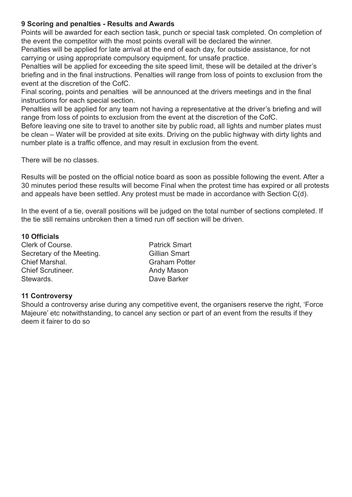### **9 Scoring and penalties - Results and Awards**

Points will be awarded for each section task, punch or special task completed. On completion of the event the competitor with the most points overall will be declared the winner.

Penalties will be applied for late arrival at the end of each day, for outside assistance, for not carrying or using appropriate compulsory equipment, for unsafe practice.

Penalties will be applied for exceeding the site speed limit, these will be detailed at the driver's briefing and in the final instructions. Penalties will range from loss of points to exclusion from the event at the discretion of the CofC.

Final scoring, points and penalties will be announced at the drivers meetings and in the final instructions for each special section.

Penalties will be applied for any team not having a representative at the driver's briefing and will range from loss of points to exclusion from the event at the discretion of the CofC.

Before leaving one site to travel to another site by public road, all lights and number plates must be clean – Water will be provided at site exits. Driving on the public highway with dirty lights and number plate is a traffic offence, and may result in exclusion from the event.

There will be no classes.

Results will be posted on the official notice board as soon as possible following the event. After a 30 minutes period these results will become Final when the protest time has expired or all protests and appeals have been settled. Any protest must be made in accordance with Section C(d).

In the event of a tie, overall positions will be judged on the total number of sections completed. If the tie still remains unbroken then a timed run off section will be driven.

### **10 Officials**

| Clerk of Course.          |
|---------------------------|
| Secretary of the Meeting. |
| Chief Marshal.            |
| <b>Chief Scrutineer.</b>  |
| Stewards.                 |

Patrick Smart Gillian Smart Graham Potter Andy Mason Dave Barker

## **11 Controversy**

Should a controversy arise during any competitive event, the organisers reserve the right, 'Force Majeure' etc notwithstanding, to cancel any section or part of an event from the results if they deem it fairer to do so